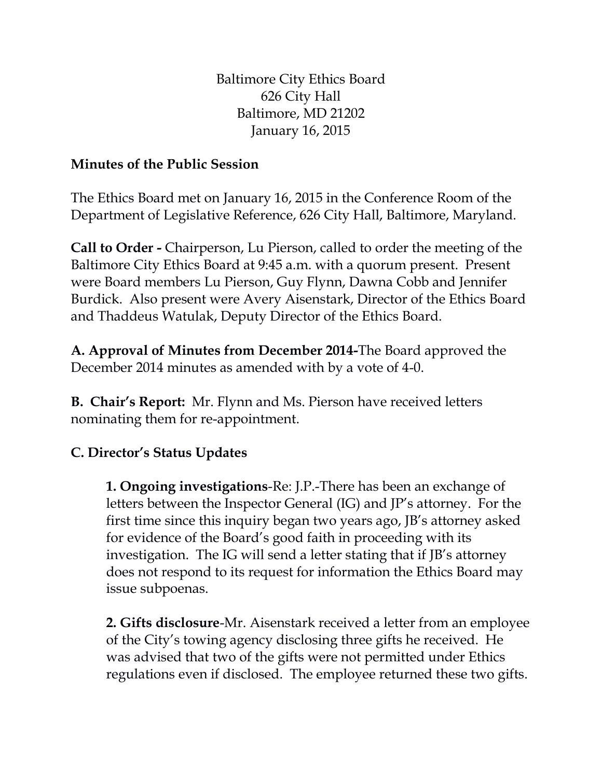Baltimore City Ethics Board 626 City Hall Baltimore, MD 21202 January 16, 2015

## **Minutes of the Public Session**

The Ethics Board met on January 16, 2015 in the Conference Room of the Department of Legislative Reference, 626 City Hall, Baltimore, Maryland.

**Call to Order -** Chairperson, Lu Pierson, called to order the meeting of the Baltimore City Ethics Board at 9:45 a.m. with a quorum present. Present were Board members Lu Pierson, Guy Flynn, Dawna Cobb and Jennifer Burdick. Also present were Avery Aisenstark, Director of the Ethics Board and Thaddeus Watulak, Deputy Director of the Ethics Board.

**A. Approval of Minutes from December 2014-**The Board approved the December 2014 minutes as amended with by a vote of 4-0.

**B. Chair's Report:** Mr. Flynn and Ms. Pierson have received letters nominating them for re-appointment.

## **C. Director's Status Updates**

**1. Ongoing investigations**-Re: J.P.-There has been an exchange of letters between the Inspector General (IG) and JP's attorney. For the first time since this inquiry began two years ago, JB's attorney asked for evidence of the Board's good faith in proceeding with its investigation. The IG will send a letter stating that if JB's attorney does not respond to its request for information the Ethics Board may issue subpoenas.

**2. Gifts disclosure**-Mr. Aisenstark received a letter from an employee of the City's towing agency disclosing three gifts he received. He was advised that two of the gifts were not permitted under Ethics regulations even if disclosed. The employee returned these two gifts.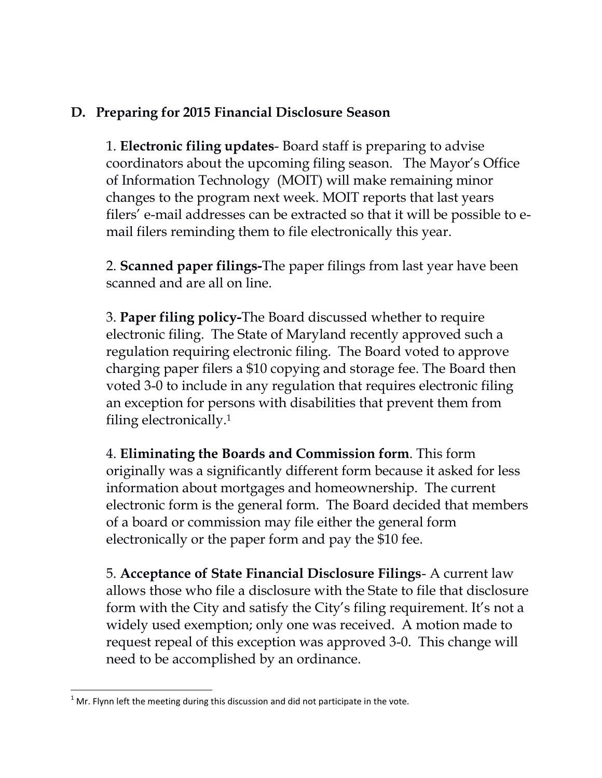## **D. Preparing for 2015 Financial Disclosure Season**

1. **Electronic filing updates**- Board staff is preparing to advise coordinators about the upcoming filing season. The Mayor's Office of Information Technology (MOIT) will make remaining minor changes to the program next week. MOIT reports that last years filers' e-mail addresses can be extracted so that it will be possible to email filers reminding them to file electronically this year.

2. **Scanned paper filings-**The paper filings from last year have been scanned and are all on line.

3. **Paper filing policy-**The Board discussed whether to require electronic filing. The State of Maryland recently approved such a regulation requiring electronic filing. The Board voted to approve charging paper filers a \$10 copying and storage fee. The Board then voted 3-0 to include in any regulation that requires electronic filing an exception for persons with disabilities that prevent them from filing electronically.<sup>1</sup>

4. **Eliminating the Boards and Commission form**. This form originally was a significantly different form because it asked for less information about mortgages and homeownership. The current electronic form is the general form. The Board decided that members of a board or commission may file either the general form electronically or the paper form and pay the \$10 fee.

5. **Acceptance of State Financial Disclosure Filings**- A current law allows those who file a disclosure with the State to file that disclosure form with the City and satisfy the City's filing requirement. It's not a widely used exemption; only one was received. A motion made to request repeal of this exception was approved 3-0. This change will need to be accomplished by an ordinance.

 $\overline{\phantom{a}}$  $1$  Mr. Flynn left the meeting during this discussion and did not participate in the vote.